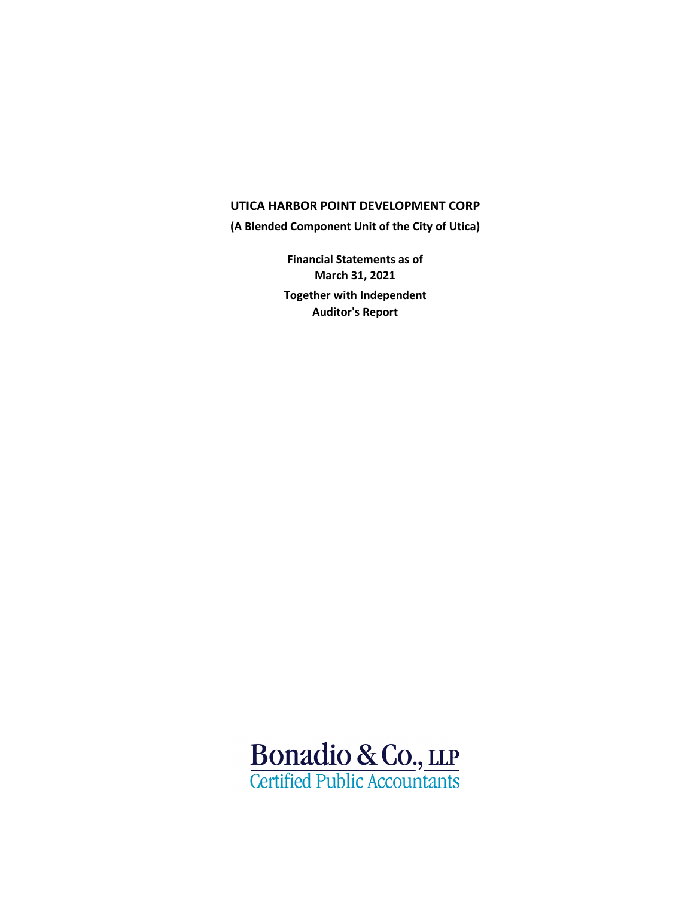# **UTICA HARBOR POINT DEVELOPMENT CORP**

**(A Blended Component Unit of the City of Utica)**

**Financial Statements as of March 31, 2021 Together with Independent Auditor's Report**

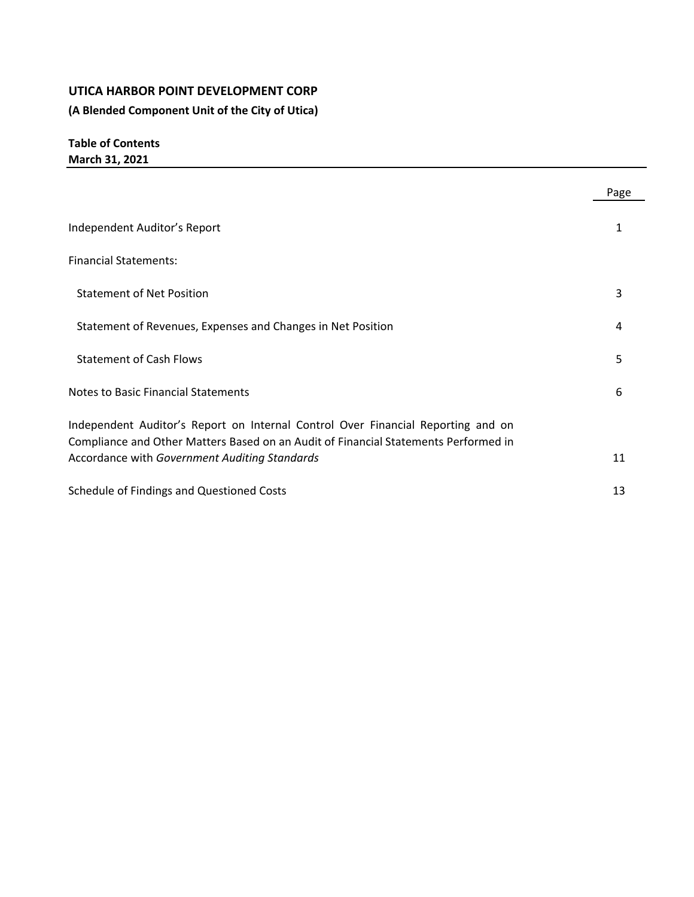# **UTICA HARBOR POINT DEVELOPMENT CORP**

**(A Blended Component Unit of the City of Utica)**

**Table of Contents March 31, 2021**

|                                                                                                                                      | Page |
|--------------------------------------------------------------------------------------------------------------------------------------|------|
| Independent Auditor's Report                                                                                                         |      |
| <b>Financial Statements:</b>                                                                                                         |      |
| <b>Statement of Net Position</b>                                                                                                     | 3    |
| Statement of Revenues, Expenses and Changes in Net Position                                                                          | 4    |
| <b>Statement of Cash Flows</b>                                                                                                       | 5    |
| <b>Notes to Basic Financial Statements</b>                                                                                           | 6    |
| Independent Auditor's Report on Internal Control Over Financial Reporting and on                                                     |      |
| Compliance and Other Matters Based on an Audit of Financial Statements Performed in<br>Accordance with Government Auditing Standards | 11   |
| Schedule of Findings and Questioned Costs                                                                                            | 13   |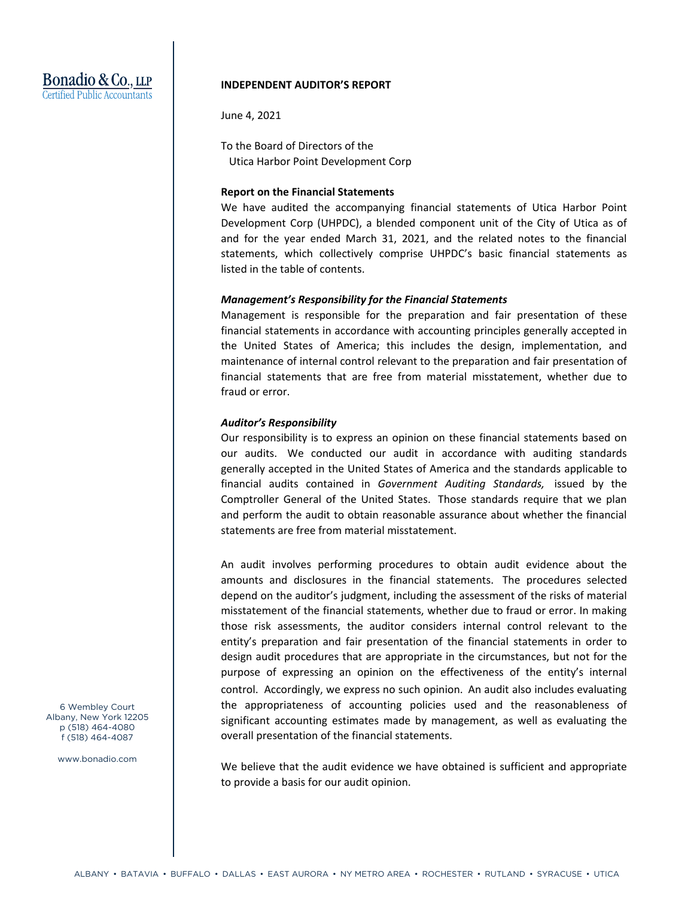# Bonadio & Co., LLP Certified Public Accountants

## **INDEPENDENT AUDITOR'S REPORT**

June 4, 2021

To the Board of Directors of the Utica Harbor Point Development Corp

## **Report on the Financial Statements**

We have audited the accompanying financial statements of Utica Harbor Point Development Corp (UHPDC), a blended component unit of the City of Utica as of and for the year ended March 31, 2021, and the related notes to the financial statements, which collectively comprise UHPDC's basic financial statements as listed in the table of contents.

## *Management's Responsibility for the Financial Statements*

Management is responsible for the preparation and fair presentation of these financial statements in accordance with accounting principles generally accepted in the United States of America; this includes the design, implementation, and maintenance of internal control relevant to the preparation and fair presentation of financial statements that are free from material misstatement, whether due to fraud or error.

## *Auditor's Responsibility*

Our responsibility is to express an opinion on these financial statements based on our audits. We conducted our audit in accordance with auditing standards generally accepted in the United States of America and the standards applicable to financial audits contained in *Government Auditing Standards,* issued by the Comptroller General of the United States. Those standards require that we plan and perform the audit to obtain reasonable assurance about whether the financial statements are free from material misstatement.

An audit involves performing procedures to obtain audit evidence about the amounts and disclosures in the financial statements. The procedures selected depend on the auditor's judgment, including the assessment of the risks of material misstatement of the financial statements, whether due to fraud or error. In making those risk assessments, the auditor considers internal control relevant to the entity's preparation and fair presentation of the financial statements in order to design audit procedures that are appropriate in the circumstances, but not for the purpose of expressing an opinion on the effectiveness of the entity's internal control. Accordingly, we express no such opinion. An audit also includes evaluating the appropriateness of accounting policies used and the reasonableness of significant accounting estimates made by management, as well as evaluating the overall presentation of the financial statements.

We believe that the audit evidence we have obtained is sufficient and appropriate to provide a basis for our audit opinion.

6 Wembley Court Albany, New York 12205 p (518) 464-4080 f (518) 464-4087

www.bonadio.com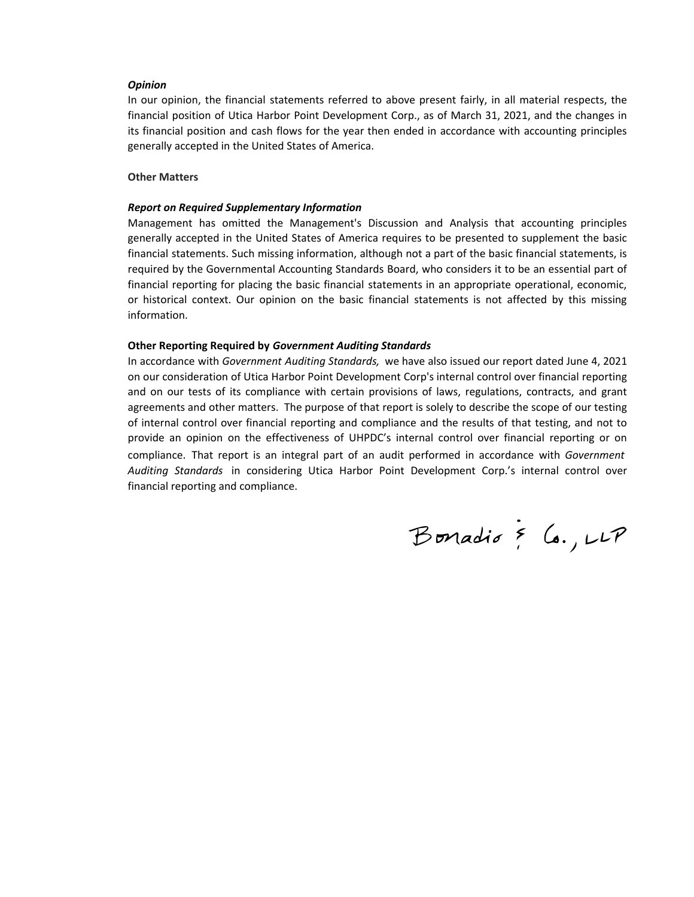#### *Opinion*

In our opinion, the financial statements referred to above present fairly, in all material respects, the financial position of Utica Harbor Point Development Corp., as of March 31, 2021, and the changes in its financial position and cash flows for the year then ended in accordance with accounting principles generally accepted in the United States of America.

## **Other Matters**

#### *Report on Required Supplementary Information*

Management has omitted the Management's Discussion and Analysis that accounting principles generally accepted in the United States of America requires to be presented to supplement the basic financial statements. Such missing information, although not a part of the basic financial statements, is required by the Governmental Accounting Standards Board, who considers it to be an essential part of financial reporting for placing the basic financial statements in an appropriate operational, economic, or historical context. Our opinion on the basic financial statements is not affected by this missing information.

#### **Other Reporting Required by** *Government Auditing Standards*

In accordance with *Government Auditing Standards,* we have also issued our report dated June 4, 2021 on our consideration of Utica Harbor Point Development Corp's internal control over financial reporting and on our tests of its compliance with certain provisions of laws, regulations, contracts, and grant agreements and other matters. The purpose of that report is solely to describe the scope of our testing of internal control over financial reporting and compliance and the results of that testing, and not to provide an opinion on the effectiveness of UHPDC's internal control over financial reporting or on compliance. That report is an integral part of an audit performed in accordance with *Government Auditing Standards* in considering Utica Harbor Point Development Corp.'s internal control over financial reporting and compliance.

Bonadio & Co., LLP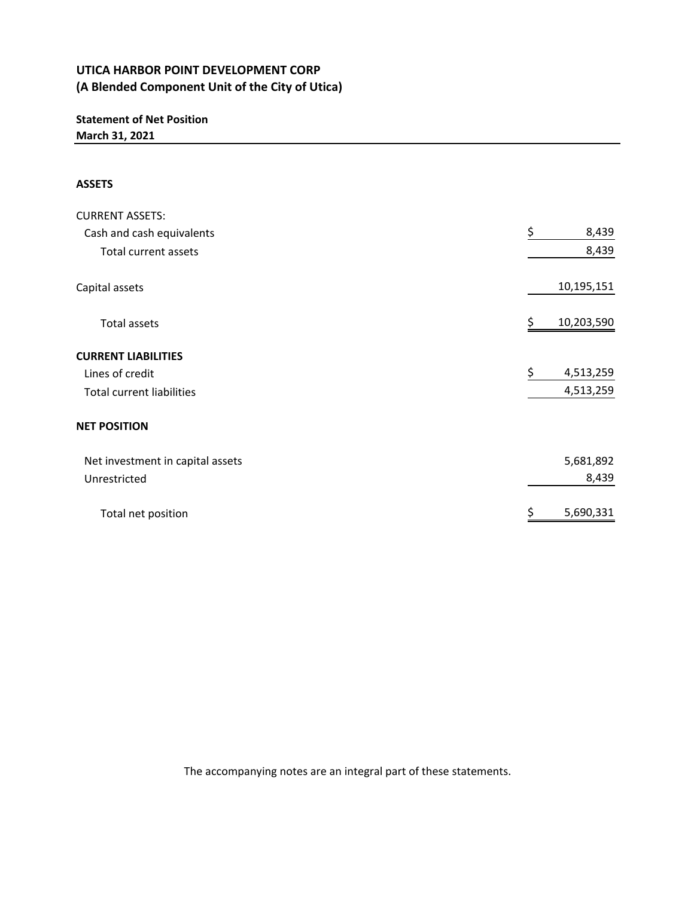# **Statement of Net Position March 31, 2021**

# **ASSETS**

| <b>CURRENT ASSETS:</b>           |                  |
|----------------------------------|------------------|
| Cash and cash equivalents        | \$<br>8,439      |
| Total current assets             | 8,439            |
| Capital assets                   | 10,195,151       |
| <b>Total assets</b>              | \$<br>10,203,590 |
| <b>CURRENT LIABILITIES</b>       |                  |
| Lines of credit                  | \$<br>4,513,259  |
| <b>Total current liabilities</b> | 4,513,259        |
| <b>NET POSITION</b>              |                  |
| Net investment in capital assets | 5,681,892        |
| Unrestricted                     | 8,439            |
| Total net position               | \$<br>5,690,331  |

The accompanying notes are an integral part of these statements.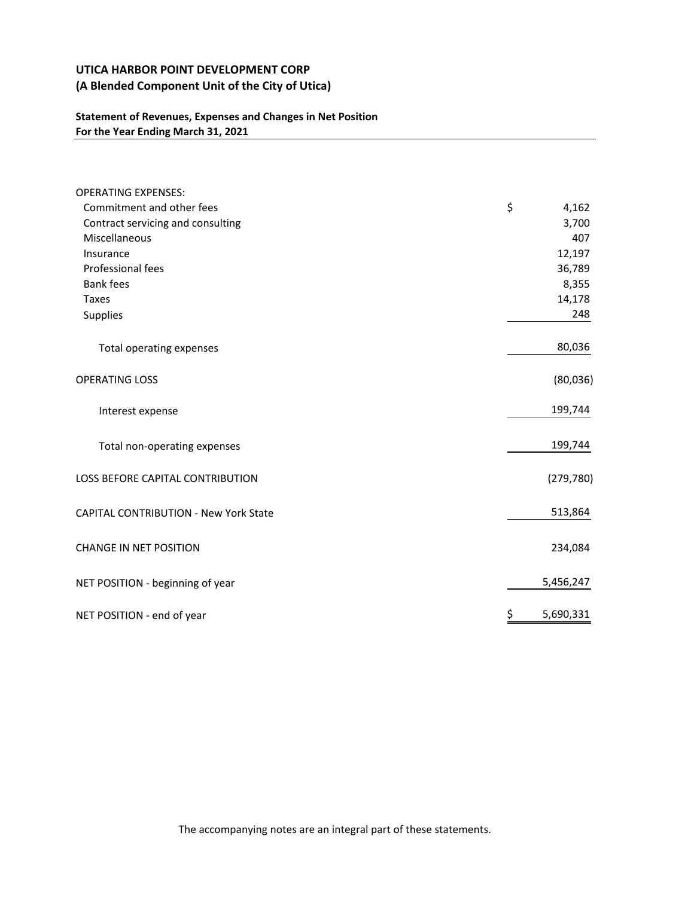# **Statement of Revenues, Expenses and Changes in Net Position For the Year Ending March 31, 2021**

| <b>OPERATING EXPENSES:</b>                   |                 |
|----------------------------------------------|-----------------|
| Commitment and other fees                    | \$<br>4,162     |
| Contract servicing and consulting            | 3,700           |
| Miscellaneous                                | 407             |
| Insurance                                    | 12,197          |
| Professional fees                            | 36,789          |
| <b>Bank fees</b>                             | 8,355           |
| <b>Taxes</b>                                 | 14,178          |
| Supplies                                     | 248             |
| Total operating expenses                     | 80,036          |
| <b>OPERATING LOSS</b>                        | (80, 036)       |
| Interest expense                             | 199,744         |
| Total non-operating expenses                 | 199,744         |
| LOSS BEFORE CAPITAL CONTRIBUTION             | (279, 780)      |
| <b>CAPITAL CONTRIBUTION - New York State</b> | 513,864         |
| <b>CHANGE IN NET POSITION</b>                | 234,084         |
| NET POSITION - beginning of year             | 5,456,247       |
| NET POSITION - end of year                   | \$<br>5,690,331 |

The accompanying notes are an integral part of these statements.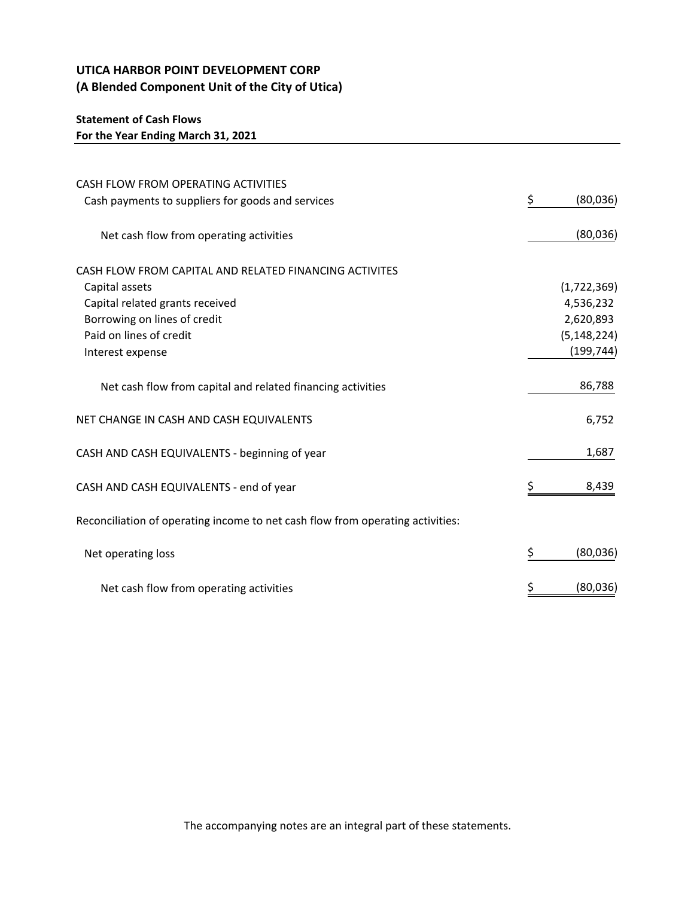# **Statement of Cash Flows**

**For the Year Ending March 31, 2021**

| CASH FLOW FROM OPERATING ACTIVITIES                                            |                |
|--------------------------------------------------------------------------------|----------------|
| Cash payments to suppliers for goods and services                              | \$<br>(80,036) |
|                                                                                |                |
| Net cash flow from operating activities                                        | (80,036)       |
|                                                                                |                |
| CASH FLOW FROM CAPITAL AND RELATED FINANCING ACTIVITES                         |                |
| Capital assets                                                                 | (1,722,369)    |
| Capital related grants received                                                | 4,536,232      |
| Borrowing on lines of credit                                                   | 2,620,893      |
| Paid on lines of credit                                                        | (5, 148, 224)  |
| Interest expense                                                               | (199, 744)     |
|                                                                                |                |
| Net cash flow from capital and related financing activities                    | 86,788         |
|                                                                                |                |
| NET CHANGE IN CASH AND CASH EQUIVALENTS                                        | 6,752          |
|                                                                                |                |
| CASH AND CASH EQUIVALENTS - beginning of year                                  | 1,687          |
| CASH AND CASH EQUIVALENTS - end of year                                        | \$<br>8,439    |
|                                                                                |                |
| Reconciliation of operating income to net cash flow from operating activities: |                |
|                                                                                |                |
| Net operating loss                                                             | \$<br>(80,036) |
|                                                                                |                |
| Net cash flow from operating activities                                        | (80,036)       |

The accompanying notes are an integral part of these statements.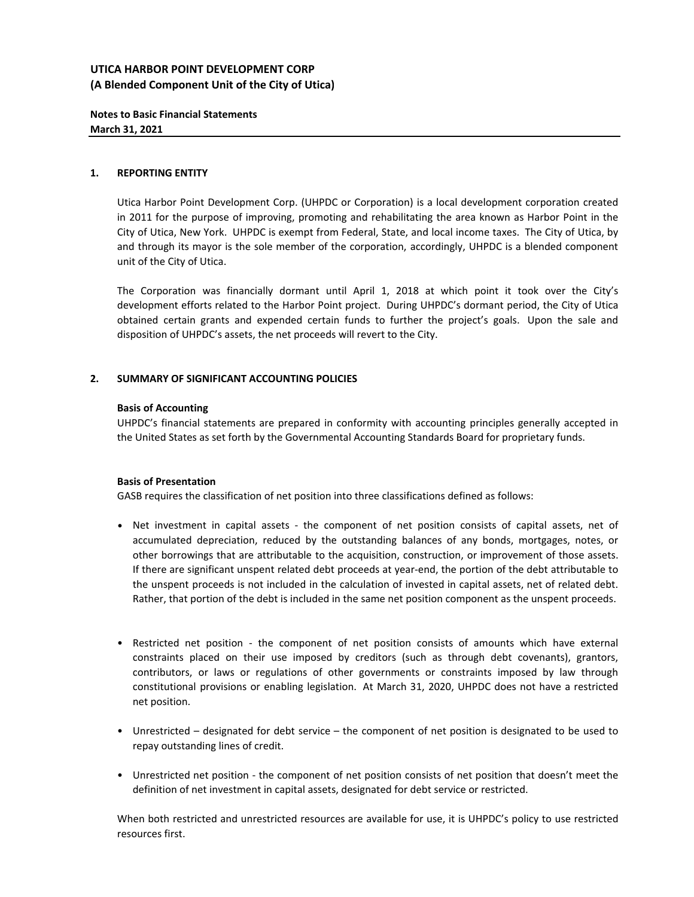## **Notes to Basic Financial Statements March 31, 2021**

### **1. REPORTING ENTITY**

Utica Harbor Point Development Corp. (UHPDC or Corporation) is a local development corporation created in 2011 for the purpose of improving, promoting and rehabilitating the area known as Harbor Point in the City of Utica, New York. UHPDC is exempt from Federal, State, and local income taxes. The City of Utica, by and through its mayor is the sole member of the corporation, accordingly, UHPDC is a blended component unit of the City of Utica.

The Corporation was financially dormant until April 1, 2018 at which point it took over the City's development efforts related to the Harbor Point project. During UHPDC's dormant period, the City of Utica obtained certain grants and expended certain funds to further the project's goals. Upon the sale and disposition of UHPDC's assets, the net proceeds will revert to the City.

## **2. SUMMARY OF SIGNIFICANT ACCOUNTING POLICIES**

#### **Basis of Accounting**

UHPDC's financial statements are prepared in conformity with accounting principles generally accepted in the United States as set forth by the Governmental Accounting Standards Board for proprietary funds.

#### **Basis of Presentation**

GASB requires the classification of net position into three classifications defined as follows:

- Net investment in capital assets ‐ the component of net position consists of capital assets, net of accumulated depreciation, reduced by the outstanding balances of any bonds, mortgages, notes, or other borrowings that are attributable to the acquisition, construction, or improvement of those assets. If there are significant unspent related debt proceeds at year‐end, the portion of the debt attributable to the unspent proceeds is not included in the calculation of invested in capital assets, net of related debt. Rather, that portion of the debt is included in the same net position component as the unspent proceeds.
- Restricted net position ‐ the component of net position consists of amounts which have external constraints placed on their use imposed by creditors (such as through debt covenants), grantors, contributors, or laws or regulations of other governments or constraints imposed by law through constitutional provisions or enabling legislation. At March 31, 2020, UHPDC does not have a restricted net position.
- Unrestricted designated for debt service the component of net position is designated to be used to repay outstanding lines of credit.
- Unrestricted net position ‐ the component of net position consists of net position that doesn't meet the definition of net investment in capital assets, designated for debt service or restricted.

When both restricted and unrestricted resources are available for use, it is UHPDC's policy to use restricted resources first.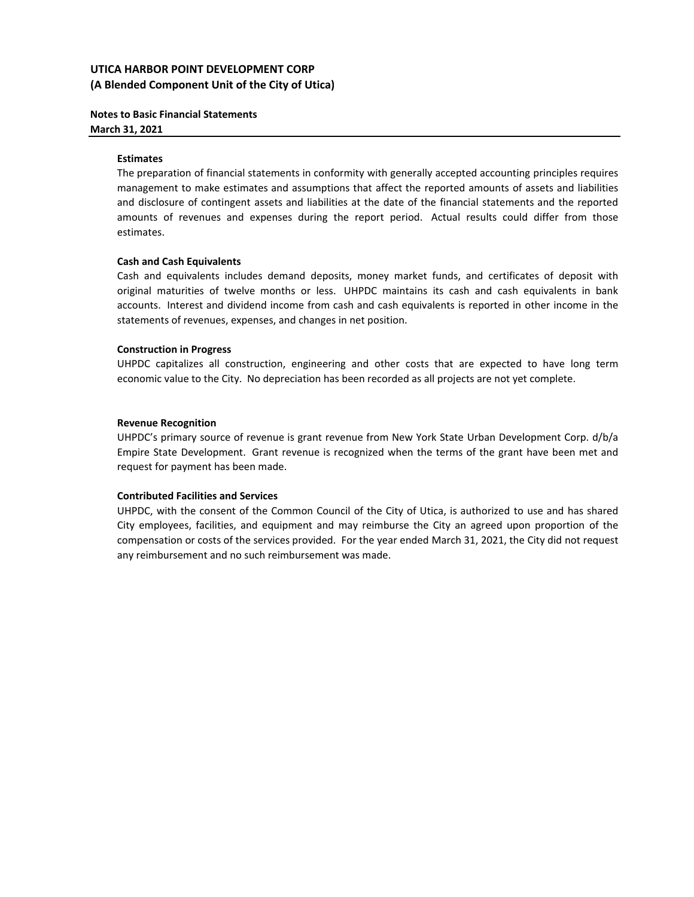## **Notes to Basic Financial Statements March 31, 2021**

#### **Estimates**

The preparation of financial statements in conformity with generally accepted accounting principles requires management to make estimates and assumptions that affect the reported amounts of assets and liabilities and disclosure of contingent assets and liabilities at the date of the financial statements and the reported amounts of revenues and expenses during the report period. Actual results could differ from those estimates.

#### **Cash and Cash Equivalents**

Cash and equivalents includes demand deposits, money market funds, and certificates of deposit with original maturities of twelve months or less. UHPDC maintains its cash and cash equivalents in bank accounts. Interest and dividend income from cash and cash equivalents is reported in other income in the statements of revenues, expenses, and changes in net position.

## **Construction in Progress**

UHPDC capitalizes all construction, engineering and other costs that are expected to have long term economic value to the City. No depreciation has been recorded as all projects are not yet complete.

#### **Revenue Recognition**

UHPDC's primary source of revenue is grant revenue from New York State Urban Development Corp. d/b/a Empire State Development. Grant revenue is recognized when the terms of the grant have been met and request for payment has been made.

#### **Contributed Facilities and Services**

UHPDC, with the consent of the Common Council of the City of Utica, is authorized to use and has shared City employees, facilities, and equipment and may reimburse the City an agreed upon proportion of the compensation or costs of the services provided. For the year ended March 31, 2021, the City did not request any reimbursement and no such reimbursement was made.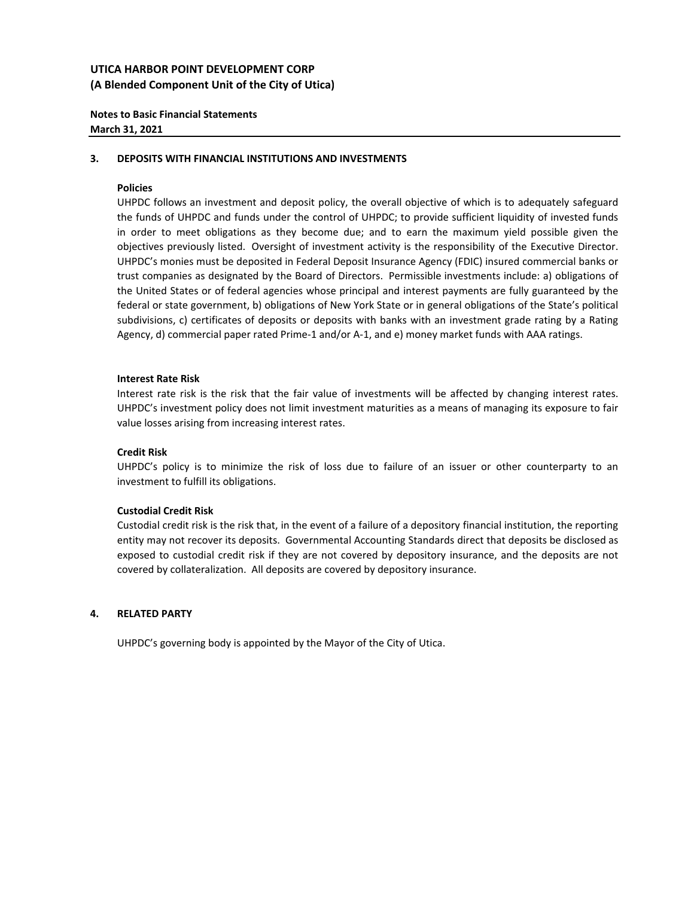## **Notes to Basic Financial Statements March 31, 2021**

#### **3. DEPOSITS WITH FINANCIAL INSTITUTIONS AND INVESTMENTS**

#### **Policies**

UHPDC follows an investment and deposit policy, the overall objective of which is to adequately safeguard the funds of UHPDC and funds under the control of UHPDC; to provide sufficient liquidity of invested funds in order to meet obligations as they become due; and to earn the maximum yield possible given the objectives previously listed. Oversight of investment activity is the responsibility of the Executive Director. UHPDC's monies must be deposited in Federal Deposit Insurance Agency (FDIC) insured commercial banks or trust companies as designated by the Board of Directors. Permissible investments include: a) obligations of the United States or of federal agencies whose principal and interest payments are fully guaranteed by the federal or state government, b) obligations of New York State or in general obligations of the State's political subdivisions, c) certificates of deposits or deposits with banks with an investment grade rating by a Rating Agency, d) commercial paper rated Prime-1 and/or A-1, and e) money market funds with AAA ratings.

#### **Interest Rate Risk**

Interest rate risk is the risk that the fair value of investments will be affected by changing interest rates. UHPDC's investment policy does not limit investment maturities as a means of managing its exposure to fair value losses arising from increasing interest rates.

#### **Credit Risk**

UHPDC's policy is to minimize the risk of loss due to failure of an issuer or other counterparty to an investment to fulfill its obligations.

#### **Custodial Credit Risk**

Custodial credit risk is the risk that, in the event of a failure of a depository financial institution, the reporting entity may not recover its deposits. Governmental Accounting Standards direct that deposits be disclosed as exposed to custodial credit risk if they are not covered by depository insurance, and the deposits are not covered by collateralization. All deposits are covered by depository insurance.

#### **4. RELATED PARTY**

UHPDC's governing body is appointed by the Mayor of the City of Utica.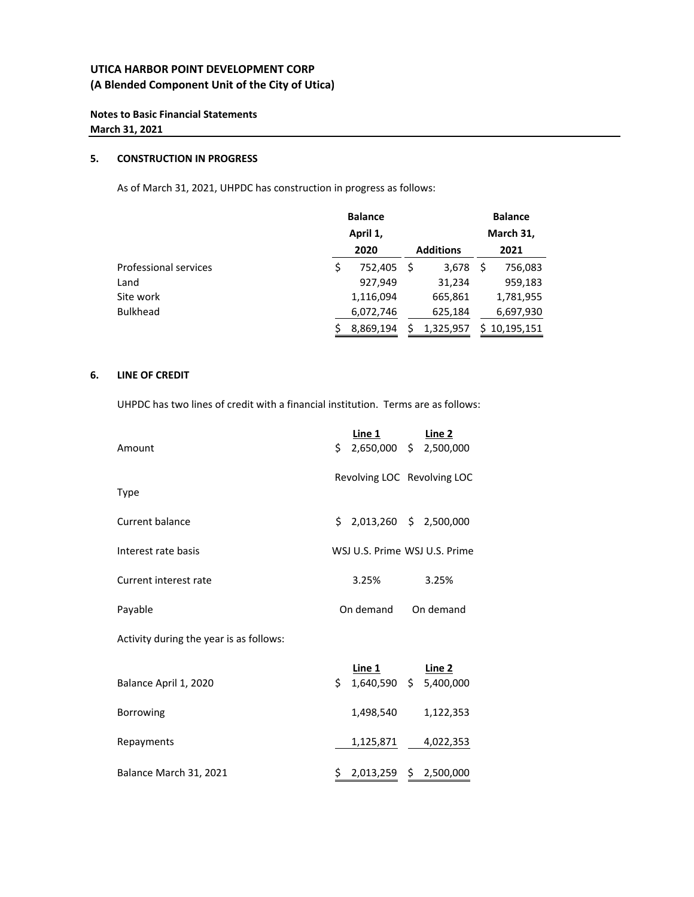## **Notes to Basic Financial Statements March 31, 2021**

#### **5. CONSTRUCTION IN PROGRESS**

As of March 31, 2021, UHPDC has construction in progress as follows:

|                       |    | <b>Balance</b> |                  | <b>Balance</b> |
|-----------------------|----|----------------|------------------|----------------|
|                       |    | April 1,       |                  | March 31,      |
|                       |    | 2020           | <b>Additions</b> | 2021           |
| Professional services | \$ | 752.405        | 3,678            | \$<br>756,083  |
| Land                  |    | 927,949        | 31,234           | 959,183        |
| Site work             |    | 1,116,094      | 665,861          | 1,781,955      |
| <b>Bulkhead</b>       |    | 6,072,746      | 625,184          | 6,697,930      |
|                       | Ś  | 8,869,194      | 1,325,957        | \$10,195,151   |

## **6. LINE OF CREDIT**

UHPDC has two lines of credit with a financial institution. Terms are as follows:

| Amount                                  | \$                            | Line 1<br>2,650,000 \$ 2,500,000        |       | Line 2    |
|-----------------------------------------|-------------------------------|-----------------------------------------|-------|-----------|
| Type                                    |                               | Revolving LOC Revolving LOC             |       |           |
| Current balance                         |                               | \$2,013,260 \$2,500,000                 |       |           |
| Interest rate basis                     | WSJ U.S. Prime WSJ U.S. Prime |                                         |       |           |
| Current interest rate                   | 3.25%                         |                                         | 3.25% |           |
| Payable                                 |                               | On demand                               |       | On demand |
| Activity during the year is as follows: |                               |                                         |       |           |
| Balance April 1, 2020                   | \$.                           | <u>Line 1</u><br>1,640,590 \$ 5,400,000 |       | Line 2    |
| Borrowing                               |                               | 1,498,540                               |       | 1,122,353 |
| Repayments                              |                               | 1,125,871                               |       | 4,022,353 |

Balance March 31, 2021 2,013,259 \$ \$ 2,500,000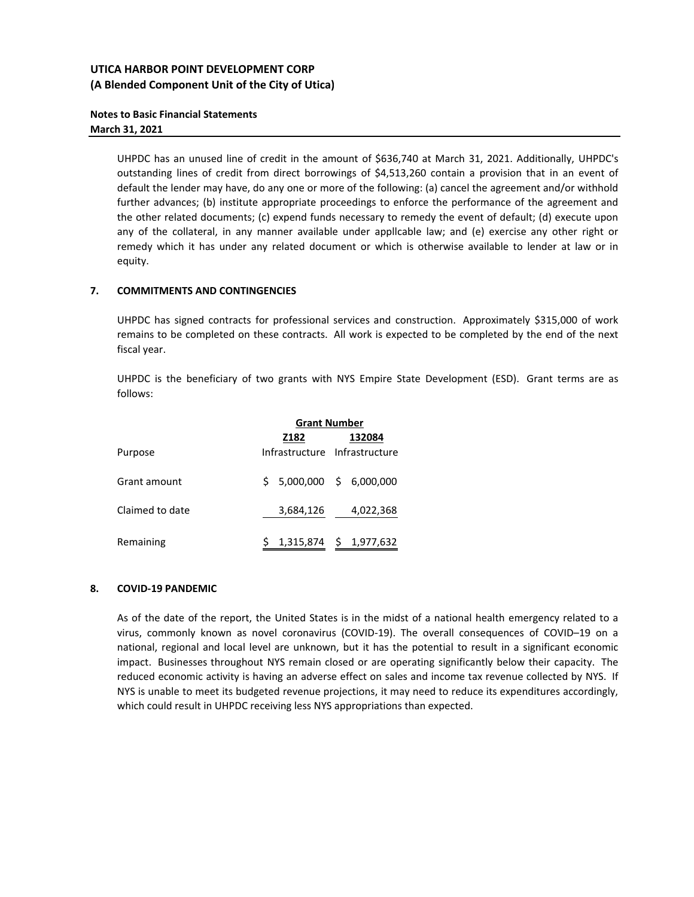## **Notes to Basic Financial Statements March 31, 2021**

UHPDC has an unused line of credit in the amount of \$636,740 at March 31, 2021. Additionally, UHPDC's outstanding lines of credit from direct borrowings of \$4,513,260 contain a provision that in an event of default the lender may have, do any one or more of the following: (a) cancel the agreement and/or withhold further advances; (b) institute appropriate proceedings to enforce the performance of the agreement and the other related documents; (c) expend funds necessary to remedy the event of default; (d) execute upon any of the collateral, in any manner available under appllcable law; and (e) exercise any other right or remedy which it has under any related document or which is otherwise available to lender at law or in equity.

## **7. COMMITMENTS AND CONTINGENCIES**

UHPDC has signed contracts for professional services and construction. Approximately \$315,000 of work remains to be completed on these contracts. All work is expected to be completed by the end of the next fiscal year.

UHPDC is the beneficiary of two grants with NYS Empire State Development (ESD). Grant terms are as follows:

|                 | <b>Grant Number</b> |                               |  |           |  |  |
|-----------------|---------------------|-------------------------------|--|-----------|--|--|
|                 | Z182                |                               |  | 132084    |  |  |
| Purpose         |                     | Infrastructure Infrastructure |  |           |  |  |
| Grant amount    |                     | $$5,000,000 \ $6,000,000$     |  |           |  |  |
| Claimed to date |                     | 3,684,126                     |  | 4,022,368 |  |  |
| Remaining       |                     | 1,315,874 \$ 1,977,632        |  |           |  |  |

#### **8. COVID‐19 PANDEMIC**

As of the date of the report, the United States is in the midst of a national health emergency related to a virus, commonly known as novel coronavirus (COVID-19). The overall consequences of COVID-19 on a national, regional and local level are unknown, but it has the potential to result in a significant economic impact. Businesses throughout NYS remain closed or are operating significantly below their capacity. The reduced economic activity is having an adverse effect on sales and income tax revenue collected by NYS. If NYS is unable to meet its budgeted revenue projections, it may need to reduce its expenditures accordingly, which could result in UHPDC receiving less NYS appropriations than expected.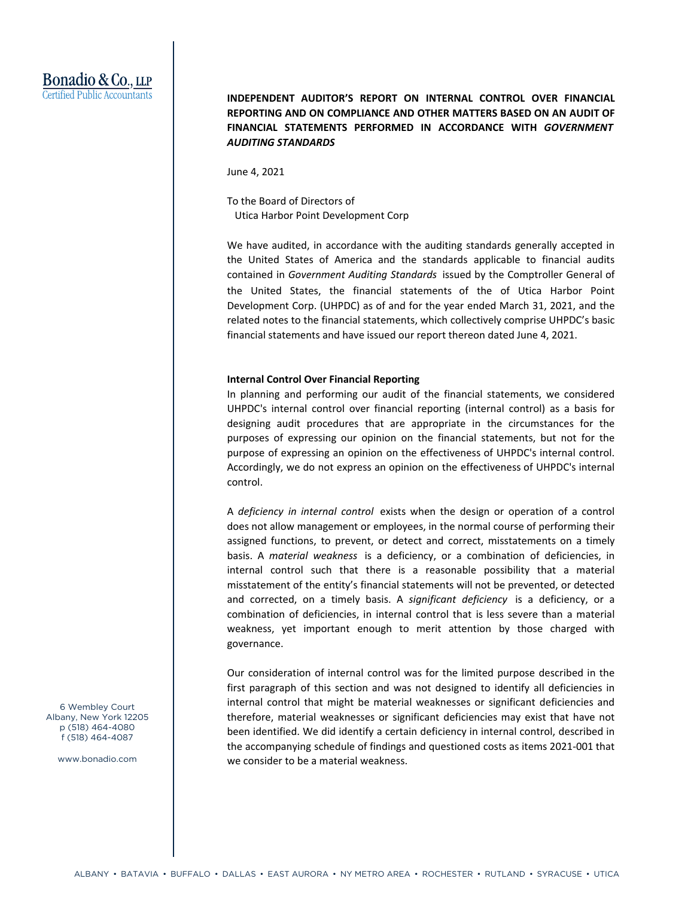# Bonadio & Co., LLP Certified Public Accountants

**INDEPENDENT AUDITOR'S REPORT ON INTERNAL CONTROL OVER FINANCIAL REPORTING AND ON COMPLIANCE AND OTHER MATTERS BASED ON AN AUDIT OF FINANCIAL STATEMENTS PERFORMED IN ACCORDANCE WITH** *GOVERNMENT AUDITING STANDARDS*

June 4, 2021

To the Board of Directors of Utica Harbor Point Development Corp

We have audited, in accordance with the auditing standards generally accepted in the United States of America and the standards applicable to financial audits contained in *Government Auditing Standards* issued by the Comptroller General of the United States, the financial statements of the of Utica Harbor Point Development Corp. (UHPDC) as of and for the year ended March 31, 2021, and the related notes to the financial statements, which collectively comprise UHPDC's basic financial statements and have issued our report thereon dated June 4, 2021.

#### **Internal Control Over Financial Reporting**

In planning and performing our audit of the financial statements, we considered UHPDC's internal control over financial reporting (internal control) as a basis for designing audit procedures that are appropriate in the circumstances for the purposes of expressing our opinion on the financial statements, but not for the purpose of expressing an opinion on the effectiveness of UHPDC's internal control. Accordingly, we do not express an opinion on the effectiveness of UHPDC's internal control.

A *deficiency in internal control* exists when the design or operation of a control does not allow management or employees, in the normal course of performing their assigned functions, to prevent, or detect and correct, misstatements on a timely basis. A *material weakness* is a deficiency, or a combination of deficiencies, in internal control such that there is a reasonable possibility that a material misstatement of the entity's financial statements will not be prevented, or detected and corrected, on a timely basis. A *significant deficiency* is a deficiency, or a combination of deficiencies, in internal control that is less severe than a material weakness, yet important enough to merit attention by those charged with governance.

Our consideration of internal control was for the limited purpose described in the first paragraph of this section and was not designed to identify all deficiencies in internal control that might be material weaknesses or significant deficiencies and therefore, material weaknesses or significant deficiencies may exist that have not been identified. We did identify a certain deficiency in internal control, described in the accompanying schedule of findings and questioned costs as items 2021‐001 that we consider to be a material weakness.

6 Wembley Court Albany, New York 12205 p (518) 464-4080 f (518) 464-4087

www.bonadio.com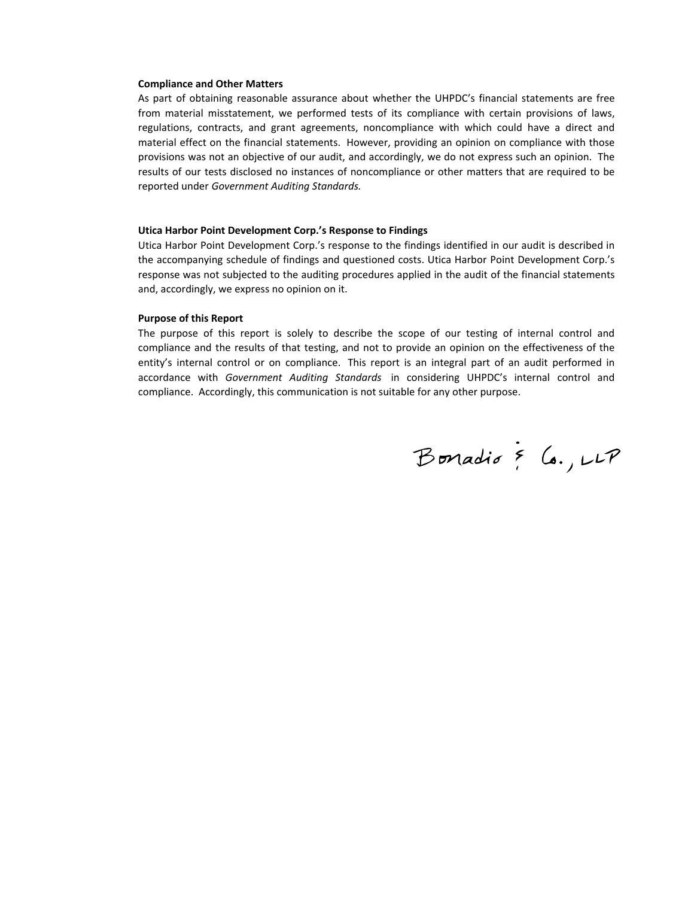#### **Compliance and Other Matters**

As part of obtaining reasonable assurance about whether the UHPDC's financial statements are free from material misstatement, we performed tests of its compliance with certain provisions of laws, regulations, contracts, and grant agreements, noncompliance with which could have a direct and material effect on the financial statements. However, providing an opinion on compliance with those provisions was not an objective of our audit, and accordingly, we do not express such an opinion. The results of our tests disclosed no instances of noncompliance or other matters that are required to be reported under *Government Auditing Standards.*

#### **Utica Harbor Point Development Corp.'s Response to Findings**

Utica Harbor Point Development Corp.'s response to the findings identified in our audit is described in the accompanying schedule of findings and questioned costs. Utica Harbor Point Development Corp.'s response was not subjected to the auditing procedures applied in the audit of the financial statements and, accordingly, we express no opinion on it.

#### **Purpose of this Report**

The purpose of this report is solely to describe the scope of our testing of internal control and compliance and the results of that testing, and not to provide an opinion on the effectiveness of the entity's internal control or on compliance. This report is an integral part of an audit performed in accordance with *Government Auditing Standards* in considering UHPDC's internal control and compliance. Accordingly, this communication is not suitable for any other purpose.

Bonadio & Co., LLP